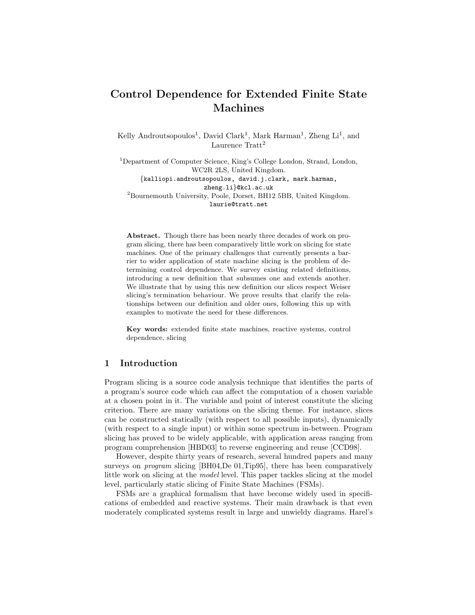# Control Dependence for Extended Finite State Machines

Kelly Androutsopoulos<sup>1</sup>, David Clark<sup>1</sup>, Mark Harman<sup>1</sup>, Zheng Li<sup>1</sup>, and Laurence Tratt<sup>2</sup>

<sup>1</sup>Department of Computer Science, King's College London, Strand, London, WC2R 2LS, United Kingdom. {kalliopi.androutsopoulos, david.j.clark, mark.harman,

zheng.li}@kcl.ac.uk <sup>2</sup>Bournemouth University, Poole, Dorset, BH12 5BB, United Kingdom. laurie@tratt.net

Abstract. Though there has been nearly three decades of work on program slicing, there has been comparatively little work on slicing for state machines. One of the primary challenges that currently presents a barrier to wider application of state machine slicing is the problem of determining control dependence. We survey existing related definitions, introducing a new definition that subsumes one and extends another. We illustrate that by using this new definition our slices respect Weiser slicing's termination behaviour. We prove results that clarify the relationships between our definition and older ones, following this up with examples to motivate the need for these differences.

Key words: extended finite state machines, reactive systems, control dependence, slicing

# 1 Introduction

Program slicing is a source code analysis technique that identifies the parts of a program's source code which can affect the computation of a chosen variable at a chosen point in it. The variable and point of interest constitute the slicing criterion. There are many variations on the slicing theme. For instance, slices can be constructed statically (with respect to all possible inputs), dynamically (with respect to a single input) or within some spectrum in-between. Program slicing has proved to be widely applicable, with application areas ranging from program comprehension [HBD03] to reverse engineering and reuse [CCD98].

However, despite thirty years of research, several hundred papers and many surveys on *program* slicing [BH04,De 01,Tip95], there has been comparatively little work on slicing at the model level. This paper tackles slicing at the model level, particularly static slicing of Finite State Machines (FSMs).

FSMs are a graphical formalism that have become widely used in specifications of embedded and reactive systems. Their main drawback is that even moderately complicated systems result in large and unwieldy diagrams. Harel's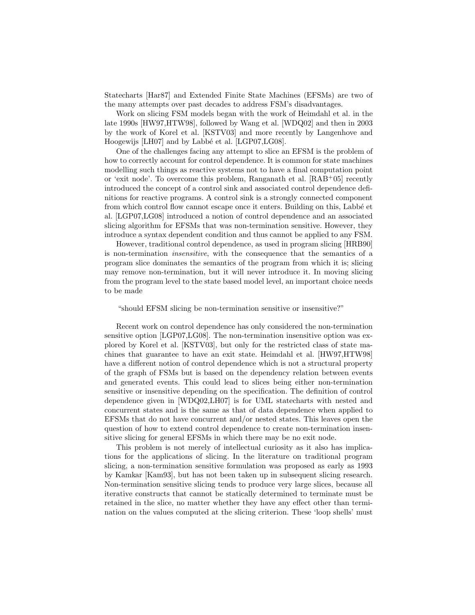Statecharts [Har87] and Extended Finite State Machines (EFSMs) are two of the many attempts over past decades to address FSM's disadvantages.

Work on slicing FSM models began with the work of Heimdahl et al. in the late 1990s [HW97,HTW98], followed by Wang et al. [WDQ02] and then in 2003 by the work of Korel et al. [KSTV03] and more recently by Langenhove and Hoogewijs [LH07] and by Labbé et al. [LGP07,LG08].

One of the challenges facing any attempt to slice an EFSM is the problem of how to correctly account for control dependence. It is common for state machines modelling such things as reactive systems not to have a final computation point or 'exit node'. To overcome this problem, Ranganath et al. [RAB+05] recently introduced the concept of a control sink and associated control dependence definitions for reactive programs. A control sink is a strongly connected component from which control flow cannot escape once it enters. Building on this, Labb´e et al. [LGP07,LG08] introduced a notion of control dependence and an associated slicing algorithm for EFSMs that was non-termination sensitive. However, they introduce a syntax dependent condition and thus cannot be applied to any FSM.

However, traditional control dependence, as used in program slicing [HRB90] is non-termination insensitive, with the consequence that the semantics of a program slice dominates the semantics of the program from which it is; slicing may remove non-termination, but it will never introduce it. In moving slicing from the program level to the state based model level, an important choice needs to be made

#### "should EFSM slicing be non-termination sensitive or insensitive?"

Recent work on control dependence has only considered the non-termination sensitive option [LGP07,LG08]. The non-termination insensitive option was explored by Korel et al. [KSTV03], but only for the restricted class of state machines that guarantee to have an exit state. Heimdahl et al. [HW97,HTW98] have a different notion of control dependence which is not a structural property of the graph of FSMs but is based on the dependency relation between events and generated events. This could lead to slices being either non-termination sensitive or insensitive depending on the specification. The definition of control dependence given in [WDQ02,LH07] is for UML statecharts with nested and concurrent states and is the same as that of data dependence when applied to EFSMs that do not have concurrent and/or nested states. This leaves open the question of how to extend control dependence to create non-termination insensitive slicing for general EFSMs in which there may be no exit node.

This problem is not merely of intellectual curiosity as it also has implications for the applications of slicing. In the literature on traditional program slicing, a non-termination sensitive formulation was proposed as early as 1993 by Kamkar [Kam93], but has not been taken up in subsequent slicing research. Non-termination sensitive slicing tends to produce very large slices, because all iterative constructs that cannot be statically determined to terminate must be retained in the slice, no matter whether they have any effect other than termination on the values computed at the slicing criterion. These 'loop shells' must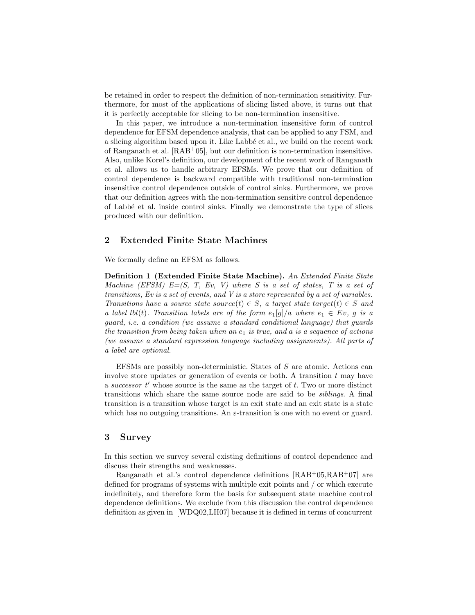be retained in order to respect the definition of non-termination sensitivity. Furthermore, for most of the applications of slicing listed above, it turns out that it is perfectly acceptable for slicing to be non-termination insensitive.

In this paper, we introduce a non-termination insensitive form of control dependence for EFSM dependence analysis, that can be applied to any FSM, and a slicing algorithm based upon it. Like Labbé et al., we build on the recent work of Ranganath et al. [RAB+05], but our definition is non-termination insensitive. Also, unlike Korel's definition, our development of the recent work of Ranganath et al. allows us to handle arbitrary EFSMs. We prove that our definition of control dependence is backward compatible with traditional non-termination insensitive control dependence outside of control sinks. Furthermore, we prove that our definition agrees with the non-termination sensitive control dependence of Labb´e et al. inside control sinks. Finally we demonstrate the type of slices produced with our definition.

### 2 Extended Finite State Machines

We formally define an EFSM as follows.

Definition 1 (Extended Finite State Machine). An Extended Finite State Machine (EFSM)  $E=[S, T, Ev, V]$  where S is a set of states, T is a set of transitions, Ev is a set of events, and V is a store represented by a set of variables. Transitions have a source state source(t)  $\in S$ , a target state target(t)  $\in S$  and a label lbl(t). Transition labels are of the form  $e_1[g]/a$  where  $e_1 \in Ev$ , g is a guard, i.e. a condition (we assume a standard conditional language) that guards the transition from being taken when an  $e_1$  is true, and a is a sequence of actions (we assume a standard expression language including assignments). All parts of a label are optional.

EFSMs are possibly non-deterministic. States of S are atomic. Actions can involve store updates or generation of events or both. A transition  $t$  may have a successor  $t'$  whose source is the same as the target of  $t$ . Two or more distinct transitions which share the same source node are said to be siblings. A final transition is a transition whose target is an exit state and an exit state is a state which has no outgoing transitions. An  $\varepsilon$ -transition is one with no event or guard.

### 3 Survey

In this section we survey several existing definitions of control dependence and discuss their strengths and weaknesses.

Ranganath et al.'s control dependence definitions  $[RAB<sup>+</sup>05, RAB<sup>+</sup>07]$  are defined for programs of systems with multiple exit points and / or which execute indefinitely, and therefore form the basis for subsequent state machine control dependence definitions. We exclude from this discussion the control dependence definition as given in [WDQ02,LH07] because it is defined in terms of concurrent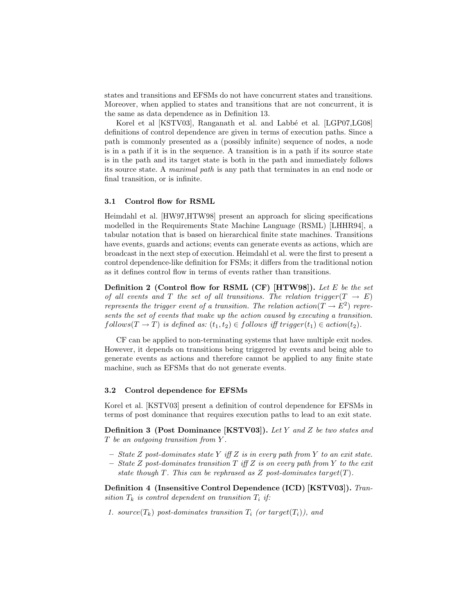states and transitions and EFSMs do not have concurrent states and transitions. Moreover, when applied to states and transitions that are not concurrent, it is the same as data dependence as in Definition 13.

Korel et al [KSTV03], Ranganath et al. and Labbé et al. [LGP07,LG08] definitions of control dependence are given in terms of execution paths. Since a path is commonly presented as a (possibly infinite) sequence of nodes, a node is in a path if it is in the sequence. A transition is in a path if its source state is in the path and its target state is both in the path and immediately follows its source state. A maximal path is any path that terminates in an end node or final transition, or is infinite.

### 3.1 Control flow for RSML

Heimdahl et al. [HW97,HTW98] present an approach for slicing specifications modelled in the Requirements State Machine Language (RSML) [LHHR94], a tabular notation that is based on hierarchical finite state machines. Transitions have events, guards and actions; events can generate events as actions, which are broadcast in the next step of execution. Heimdahl et al. were the first to present a control dependence-like definition for FSMs; it differs from the traditional notion as it defines control flow in terms of events rather than transitions.

Definition 2 (Control flow for RSML (CF) [HTW98]). Let E be the set of all events and T the set of all transitions. The relation trigger( $T \rightarrow E$ ) represents the trigger event of a transition. The relation action( $T \to E^2$ ) represents the set of events that make up the action caused by executing a transition.  $follows(T \rightarrow T)$  is defined as:  $(t_1, t_2) \in follows$  iff trigger $(t_1) \in action(t_2)$ .

CF can be applied to non-terminating systems that have multiple exit nodes. However, it depends on transitions being triggered by events and being able to generate events as actions and therefore cannot be applied to any finite state machine, such as EFSMs that do not generate events.

#### 3.2 Control dependence for EFSMs

Korel et al. [KSTV03] present a definition of control dependence for EFSMs in terms of post dominance that requires execution paths to lead to an exit state.

Definition 3 (Post Dominance [KSTV03]). Let Y and Z be two states and T be an outgoing transition from Y .

- $-$  State Z post-dominates state Y iff Z is in every path from Y to an exit state.
- State Z post-dominates transition  $T$  iff Z is on every path from Y to the exit state though  $T$ . This can be rephrased as  $Z$  post-dominates target $(T)$ .

Definition 4 (Insensitive Control Dependence (ICD) [KSTV03]). Transition  $T_k$  is control dependent on transition  $T_i$  if:

1. source( $T_k$ ) post-dominates transition  $T_i$  (or target( $T_i$ )), and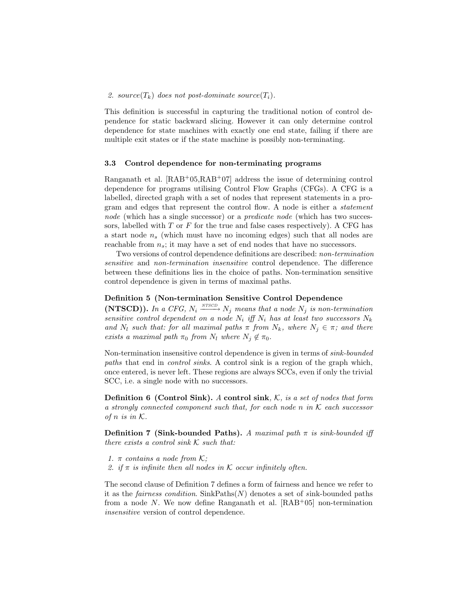#### 2. source( $T_k$ ) does not post-dominate source( $T_i$ ).

This definition is successful in capturing the traditional notion of control dependence for static backward slicing. However it can only determine control dependence for state machines with exactly one end state, failing if there are multiple exit states or if the state machine is possibly non-terminating.

#### 3.3 Control dependence for non-terminating programs

Ranganath et al.  $[RAB<sup>+</sup>05, RAB<sup>+</sup>07]$  address the issue of determining control dependence for programs utilising Control Flow Graphs (CFGs). A CFG is a labelled, directed graph with a set of nodes that represent statements in a program and edges that represent the control flow. A node is either a statement node (which has a single successor) or a *predicate node* (which has two successors, labelled with  $T$  or  $F$  for the true and false cases respectively). A CFG has a start node  $n_s$  (which must have no incoming edges) such that all nodes are reachable from  $n_s$ ; it may have a set of end nodes that have no successors.

Two versions of control dependence definitions are described: non-termination sensitive and non-termination insensitive control dependence. The difference between these definitions lies in the choice of paths. Non-termination sensitive control dependence is given in terms of maximal paths.

### Definition 5 (Non-termination Sensitive Control Dependence

(NTSCD)). In a CFG,  $N_i \xrightarrow{NTSCD} N_j$  means that a node  $N_j$  is non-termination sensitive control dependent on a node  $N_i$  iff  $N_i$  has at least two successors  $N_k$ and  $N_l$  such that: for all maximal paths  $\pi$  from  $N_k$ , where  $N_j \in \pi$ ; and there exists a maximal path  $\pi_0$  from  $N_l$  where  $N_j \notin \pi_0$ .

Non-termination insensitive control dependence is given in terms of sink-bounded paths that end in control sinks. A control sink is a region of the graph which, once entered, is never left. These regions are always SCCs, even if only the trivial SCC, i.e. a single node with no successors.

**Definition 6 (Control Sink).** A control sink,  $K$ , is a set of nodes that form a strongly connected component such that, for each node n in  $K$  each successor of n is in  $K$ .

**Definition 7 (Sink-bounded Paths).** A maximal path  $\pi$  is sink-bounded iff there exists a control sink  $K$  such that:

- 1.  $\pi$  contains a node from K;
- 2. if  $\pi$  is infinite then all nodes in K occur infinitely often.

The second clause of Definition 7 defines a form of fairness and hence we refer to it as the *fairness condition*.  $\text{SinkPaths}(N)$  denotes a set of sink-bounded paths from a node N. We now define Ranganath et al.  $[RAB<sup>+</sup>05]$  non-termination insensitive version of control dependence.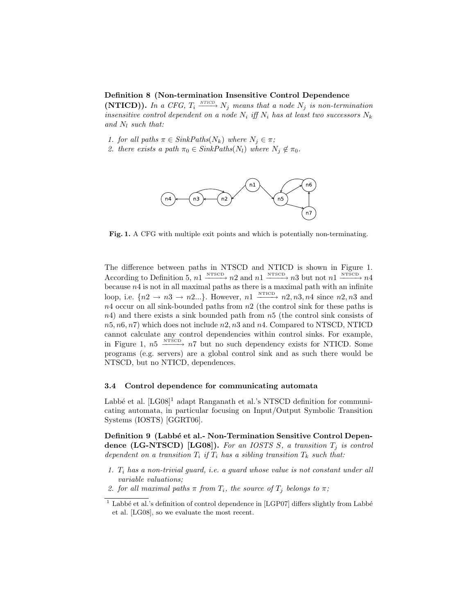### Definition 8 (Non-termination Insensitive Control Dependence

(NTICD)). In a CFG,  $T_i \xrightarrow{NT/CD} N_j$  means that a node  $N_j$  is non-termination insensitive control dependent on a node  $N_i$  iff  $N_i$  has at least two successors  $N_k$ and  $N_l$  such that:

- 1. for all paths  $\pi \in \text{SinkPaths}(N_k)$  where  $N_j \in \pi$ ;
- 2. there exists a path  $\pi_0 \in \text{SinkPaths}(N_l)$  where  $N_j \notin \pi_0$ .



Fig. 1. A CFG with multiple exit points and which is potentially non-terminating.

The difference between paths in NTSCD and NTICD is shown in Figure 1. According to Definition 5,  $n1 \xrightarrow{\text{NTSCD}} n2$  and  $n1 \xrightarrow{\text{NTSCD}} n3$  but not  $n1 \xrightarrow{\text{NTSCD}} n4$ because  $n_4$  is not in all maximal paths as there is a maximal path with an infinite loop, i.e.  $\{n2 \to n3 \to n2...\}$ . However,  $n1 \xrightarrow{\text{NTID}} n2, n3, n4$  since  $n2, n3$  and  $n4$  occur on all sink-bounded paths from  $n2$  (the control sink for these paths is  $n4$ ) and there exists a sink bounded path from  $n5$  (the control sink consists of  $n5, n6, n7$  which does not include  $n2, n3$  and  $n4$ . Compared to NTSCD, NTICD cannot calculate any control dependencies within control sinks. For example, in Figure 1,  $n5 \xrightarrow{\text{NTSCD}} n7$  but no such dependency exists for NTICD. Some programs (e.g. servers) are a global control sink and as such there would be NTSCD, but no NTICD, dependences.

### 3.4 Control dependence for communicating automata

Labbé et al.  $[LG08]$ <sup>1</sup> adapt Ranganath et al.'s NTSCD definition for communicating automata, in particular focusing on Input/Output Symbolic Transition Systems (IOSTS) [GGRT06].

Definition 9 (Labbé et al.- Non-Termination Sensitive Control Dependence (LG-NTSCD) [LG08]). For an IOSTS S, a transition  $T_j$  is control dependent on a transition  $T_i$  if  $T_i$  has a sibling transition  $T_k$  such that:

- 1.  $T_i$  has a non-trivial guard, i.e. a guard whose value is not constant under all variable valuations;
- 2. for all maximal paths  $\pi$  from  $T_i$ , the source of  $T_i$  belongs to  $\pi$ ;

 $1$  Labbé et al.'s definition of control dependence in [LGP07] differs slightly from Labbé et al. [LG08], so we evaluate the most recent.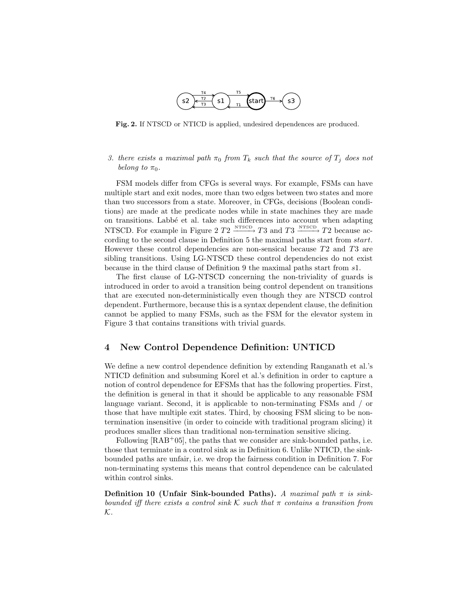

Fig. 2. If NTSCD or NTICD is applied, undesired dependences are produced.

3. there exists a maximal path  $\pi_0$  from  $T_k$  such that the source of  $T_i$  does not belong to  $\pi_0$ .

FSM models differ from CFGs is several ways. For example, FSMs can have multiple start and exit nodes, more than two edges between two states and more than two successors from a state. Moreover, in CFGs, decisions (Boolean conditions) are made at the predicate nodes while in state machines they are made on transitions. Labb´e et al. take such differences into account when adapting NTSCD. For example in Figure 2  $T2 \xrightarrow{\text{NTSCD}} T3$  and  $T3 \xrightarrow{\text{NTSCD}} T2$  because according to the second clause in Definition 5 the maximal paths start from start. However these control dependencies are non-sensical because T2 and T3 are sibling transitions. Using LG-NTSCD these control dependencies do not exist because in the third clause of Definition 9 the maximal paths start from s1.

The first clause of LG-NTSCD concerning the non-triviality of guards is introduced in order to avoid a transition being control dependent on transitions that are executed non-deterministically even though they are NTSCD control dependent. Furthermore, because this is a syntax dependent clause, the definition cannot be applied to many FSMs, such as the FSM for the elevator system in Figure 3 that contains transitions with trivial guards.

### 4 New Control Dependence Definition: UNTICD

We define a new control dependence definition by extending Ranganath et al.'s NTICD definition and subsuming Korel et al.'s definition in order to capture a notion of control dependence for EFSMs that has the following properties. First, the definition is general in that it should be applicable to any reasonable FSM language variant. Second, it is applicable to non-terminating FSMs and / or those that have multiple exit states. Third, by choosing FSM slicing to be nontermination insensitive (in order to coincide with traditional program slicing) it produces smaller slices than traditional non-termination sensitive slicing.

Following  $[RAB<sup>+</sup>05]$ , the paths that we consider are sink-bounded paths, i.e. those that terminate in a control sink as in Definition 6. Unlike NTICD, the sinkbounded paths are unfair, i.e. we drop the fairness condition in Definition 7. For non-terminating systems this means that control dependence can be calculated within control sinks.

Definition 10 (Unfair Sink-bounded Paths). A maximal path  $\pi$  is sinkbounded iff there exists a control sink  $\mathcal K$  such that  $\pi$  contains a transition from K.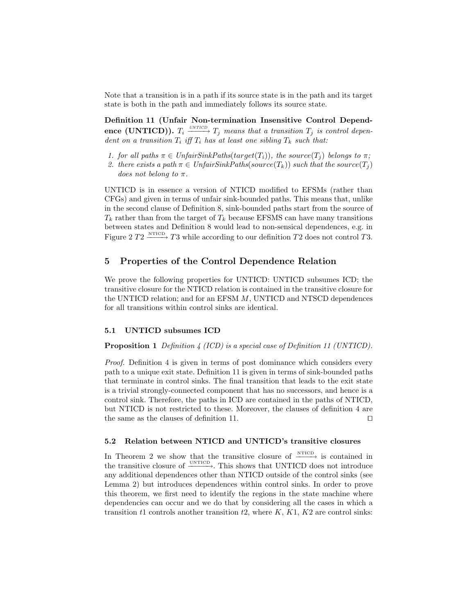Note that a transition is in a path if its source state is in the path and its target state is both in the path and immediately follows its source state.

Definition 11 (Unfair Non-termination Insensitive Control Dependence (UNTICD)).  $T_i \xrightarrow{UNTICD} T_j$  means that a transition  $T_j$  is control dependent on a transition  $T_i$  iff  $T_i$  has at least one sibling  $T_k$  such that:

- 1. for all paths  $\pi \in UnfairSinkPaths(target(T_i))$ , the source  $(T_i)$  belongs to  $\pi$ ;
- 2. there exists a path  $\pi \in UnfairSinkPaths(source(T_k))$  such that the source $(T_i)$ does not belong to  $\pi$ .

UNTICD is in essence a version of NTICD modified to EFSMs (rather than CFGs) and given in terms of unfair sink-bounded paths. This means that, unlike in the second clause of Definition 8, sink-bounded paths start from the source of  $T_k$  rather than from the target of  $T_k$  because EFSMS can have many transitions between states and Definition 8 would lead to non-sensical dependences, e.g. in Figure 2  $T2 \xrightarrow{\text{NTCD}} T3$  while according to our definition T2 does not control T3.

# 5 Properties of the Control Dependence Relation

We prove the following properties for UNTICD: UNTICD subsumes ICD; the transitive closure for the NTICD relation is contained in the transitive closure for the UNTICD relation; and for an EFSM M, UNTICD and NTSCD dependences for all transitions within control sinks are identical.

### 5.1 UNTICD subsumes ICD

### Proposition 1 Definition 4 (ICD) is a special case of Definition 11 (UNTICD).

Proof. Definition 4 is given in terms of post dominance which considers every path to a unique exit state. Definition 11 is given in terms of sink-bounded paths that terminate in control sinks. The final transition that leads to the exit state is a trivial strongly-connected component that has no successors, and hence is a control sink. Therefore, the paths in ICD are contained in the paths of NTICD, but NTICD is not restricted to these. Moreover, the clauses of definition 4 are the same as the clauses of definition 11.  $\Box$ 

### 5.2 Relation between NTICD and UNTICD's transitive closures

In Theorem 2 we show that the transitive closure of  $\xrightarrow{\text{NTICD}}$  is contained in the transitive closure of  $\xrightarrow{\text{UNTICD}}$ . This shows that UNTICD does not introduce any additional dependences other than NTICD outside of the control sinks (see Lemma 2) but introduces dependences within control sinks. In order to prove this theorem, we first need to identify the regions in the state machine where dependencies can occur and we do that by considering all the cases in which a transition t1 controls another transition  $t2$ , where  $K$ ,  $K1$ ,  $K2$  are control sinks: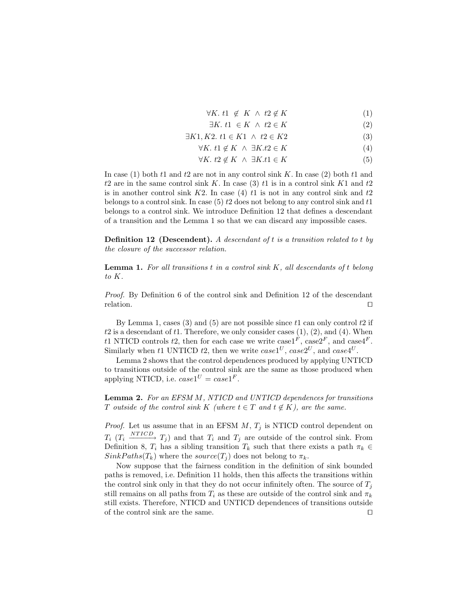- $\forall K. t1 \notin K \land t2 \notin K$  (1)
- $\exists K. t1 \in K \land t2 \in K$  (2)

$$
\exists K1, K2. \ t1 \in K1 \ \land \ t2 \in K2 \tag{3}
$$

 $\forall K. \ t1 \notin K \ \land \ \exists K.t2 \in K$  (4)

$$
\forall K. \ t2 \notin K \ \land \ \exists K.t1 \in K \tag{5}
$$

In case (1) both t1 and t2 are not in any control sink K. In case (2) both t1 and t2 are in the same control sink K. In case (3) t1 is in a control sink K1 and  $t2$ is in another control sink  $K2$ . In case (4) t1 is not in any control sink and t2 belongs to a control sink. In case  $(5)$  t2 does not belong to any control sink and t1 belongs to a control sink. We introduce Definition 12 that defines a descendant of a transition and the Lemma 1 so that we can discard any impossible cases.

Definition 12 (Descendent). A descendant of t is a transition related to t by the closure of the successor relation.

**Lemma 1.** For all transitions  $t$  in a control sink  $K$ , all descendants of  $t$  belong to K.

Proof. By Definition 6 of the control sink and Definition 12 of the descendant relation.  $\Box$ 

By Lemma 1, cases (3) and (5) are not possible since  $t_1$  can only control  $t_2$  if  $t2$  is a descendant of  $t1$ . Therefore, we only consider cases  $(1), (2),$  and  $(4)$ . When t1 NTICD controls t2, then for each case we write case1<sup>F</sup>, case2<sup>F</sup>, and case4<sup>F</sup>. Similarly when t1 UNTICD t2, then we write  $case1^U$ ,  $case2^U$ , and  $case4^U$ .

Lemma 2 shows that the control dependences produced by applying UNTICD to transitions outside of the control sink are the same as those produced when applying NTICD, i.e.  $case1^U = case1^F$ .

Lemma 2. For an EFSM M, NTICD and UNTICD dependences for transitions T outside of the control sink K (where  $t \in T$  and  $t \notin K$ ), are the same.

*Proof.* Let us assume that in an EFSM  $M$ ,  $T_j$  is NTICD control dependent on  $T_i$  ( $T_i \xrightarrow{NTICD} T_j$ ) and that  $T_i$  and  $T_j$  are outside of the control sink. From Definition 8,  $T_i$  has a sibling transition  $T_k$  such that there exists a path  $\pi_k \in$  $SinkPaths(T_k)$  where the source(T<sub>i</sub>) does not belong to  $\pi_k$ .

Now suppose that the fairness condition in the definition of sink bounded paths is removed, i.e. Definition 11 holds, then this affects the transitions within the control sink only in that they do not occur infinitely often. The source of  $T_i$ still remains on all paths from  $T_i$  as these are outside of the control sink and  $\pi_k$ still exists. Therefore, NTICD and UNTICD dependences of transitions outside of the control sink are the same.  $\Box$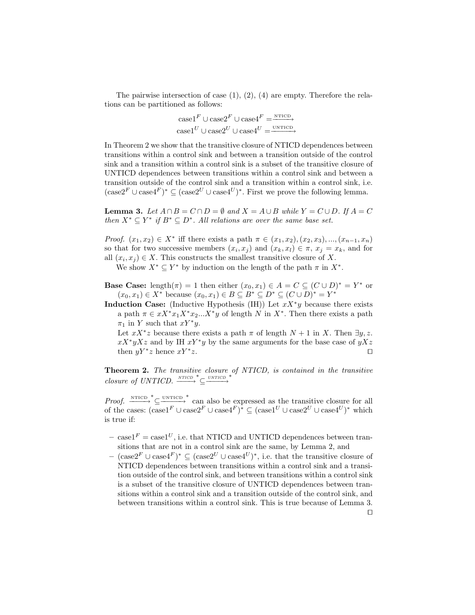The pairwise intersection of case  $(1), (2), (4)$  are empty. Therefore the relations can be partitioned as follows:

> $\text{case1}^F \cup \text{case2}^F \cup \text{case4}^F = \overline{\text{MITCD}}$  $\text{case1}^U \cup \text{case2}^U \cup \text{case4}^U = \overrightarrow{\text{unrticp}}$

In Theorem 2 we show that the transitive closure of NTICD dependences between transitions within a control sink and between a transition outside of the control sink and a transition within a control sink is a subset of the transitive closure of UNTICD dependences between transitions within a control sink and between a transition outside of the control sink and a transition within a control sink, i.e.  $(\csc^2 F \cup \csc^4 F)^* \subseteq (\csc^2 F \cup \csc^4 F)^*$ . First we prove the following lemma.

**Lemma 3.** Let  $A \cap B = C \cap D = \emptyset$  and  $X = A \cup B$  while  $Y = C \cup D$ . If  $A = C$ then  $X^* \subseteq Y^*$  if  $B^* \subseteq D^*$ . All relations are over the same base set.

Proof.  $(x_1, x_2) \in X^*$  iff there exists a path  $\pi \in (x_1, x_2), (x_2, x_3), ..., (x_{n-1}, x_n)$ so that for two successive members  $(x_i, x_j)$  and  $(x_k, x_l) \in \pi$ ,  $x_j = x_k$ , and for all  $(x_i, x_j) \in X$ . This constructs the smallest transitive closure of X.

We show  $X^* \subseteq Y^*$  by induction on the length of the path  $\pi$  in  $X^*$ .

- **Base Case:** length $(\pi) = 1$  then either  $(x_0, x_1) \in A = C \subseteq (C \cup D)^* = Y^*$  or  $(x_0, x_1) \in X^*$  because  $(x_0, x_1) \in B \subseteq B^* \subseteq D^* \subseteq (C \cup D)^* = Y^*$
- Induction Case: (Inductive Hypothesis (IH)) Let  $xX^*y$  because there exists a path  $\pi \in xX^*x_1X^*x_2...X^*y$  of length N in  $X^*$ . Then there exists a path  $\pi_1$  in Y such that  $xY^*y$ .

Let  $xX^*z$  because there exists a path  $\pi$  of length  $N+1$  in X. Then  $\exists y, z$ .  $xX^*yXz$  and by IH  $xY^*y$  by the same arguments for the base case of  $yXz$ then  $yY^*z$  hence  $xY^*$  $z$ .

Theorem 2. The transitive closure of NTICD, is contained in the transitive  $closure\ of\ UNTICD.\ \frac{\text{NTICD}}{\text{NTICD}}^* \subseteq \frac{\text{UNTICD}}{\text{NTICD}}^*$ 

*Proof.*  $\xrightarrow{\text{NTICD}} \subseteq \xrightarrow{ \text{UNTICD}}^*$  can also be expressed as the transitive closure for all of the cases:  $(\text{case1}^F \cup \text{case2}^F \cup \text{case4}^F)^* \subseteq (\text{case1}^U \cup \text{case2}^U \cup \text{case4}^U)^*$  which is true if:

- case1<sup>F</sup> = case1<sup>U</sup>, i.e. that NTICD and UNTICD dependences between transitions that are not in a control sink are the same, by Lemma 2, and
- $-$  (case2<sup>F</sup> ∪ case4<sup>F</sup>)<sup>\*</sup> ⊆ (case2<sup>U</sup> ∪ case4<sup>U</sup>)<sup>\*</sup>, i.e. that the transitive closure of NTICD dependences between transitions within a control sink and a transition outside of the control sink, and between transitions within a control sink is a subset of the transitive closure of UNTICD dependences between transitions within a control sink and a transition outside of the control sink, and between transitions within a control sink. This is true because of Lemma 3.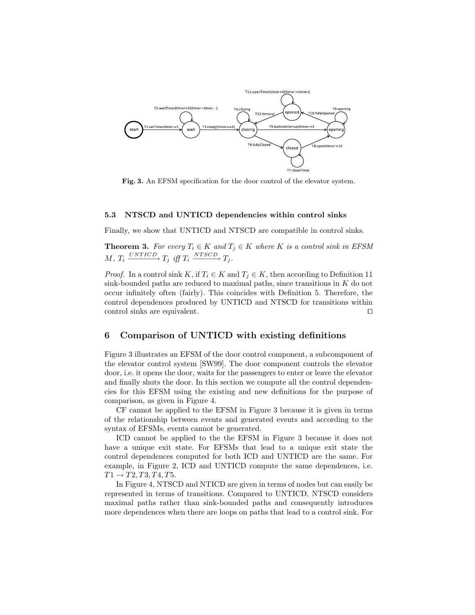

Fig. 3. An EFSM specification for the door control of the elevator system.

#### 5.3 NTSCD and UNTICD dependencies within control sinks

Finally, we show that UNTICD and NTSCD are compatible in control sinks.

**Theorem 3.** For every  $T_i \in K$  and  $T_j \in K$  where K is a control sink in EFSM  $M, T_i \xrightarrow{UNTICD} T_j \text{ iff } T_i \xrightarrow{NTSCD} T_j.$ 

*Proof.* In a control sink K, if  $T_i \in K$  and  $T_j \in K$ , then according to Definition 11 sink-bounded paths are reduced to maximal paths, since transitions in  $K$  do not occur infinitely often (fairly). This coincides with Definition 5. Therefore, the control dependences produced by UNTICD and NTSCD for transitions within control sinks are equivalent.  $\Box$ 

### 6 Comparison of UNTICD with existing definitions

Figure 3 illustrates an EFSM of the door control component, a subcomponent of the elevator control system [SW99]. The door component controls the elevator door, i.e. it opens the door, waits for the passengers to enter or leave the elevator and finally shuts the door. In this section we compute all the control dependencies for this EFSM using the existing and new definitions for the purpose of comparison, as given in Figure 4.

CF cannot be applied to the EFSM in Figure 3 because it is given in terms of the relationship between events and generated events and according to the syntax of EFSMs, events cannot be generated.

ICD cannot be applied to the the EFSM in Figure 3 because it does not have a unique exit state. For EFSMs that lead to a unique exit state the control dependences computed for both ICD and UNTICD are the same. For example, in Figure 2, ICD and UNTICD compute the same dependences, i.e.  $T1 \to T2, T3, T4, T5.$ 

In Figure 4, NTSCD and NTICD are given in terms of nodes but can easily be represented in terms of transitions. Compared to UNTICD, NTSCD considers maximal paths rather than sink-bounded paths and consequently introduces more dependences when there are loops on paths that lead to a control sink. For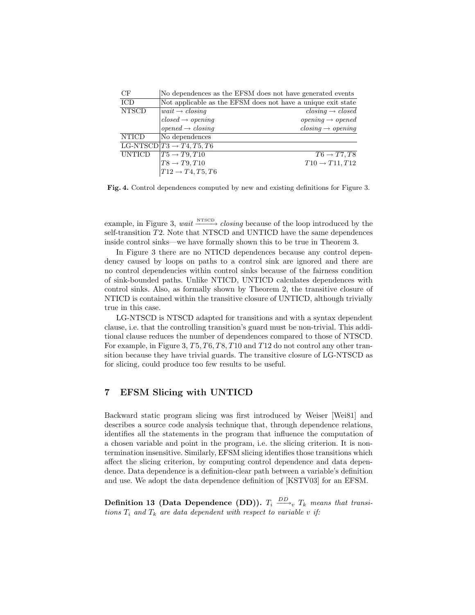| CF            | No dependences as the EFSM does not have generated events    |                                                 |
|---------------|--------------------------------------------------------------|-------------------------------------------------|
| ICD           | Not applicable as the EFSM does not have a unique exit state |                                                 |
| <b>NTSCD</b>  | $wait \rightarrow closing$                                   | $\textit{closing} \rightarrow \textit{closed}$  |
|               | $closed \rightarrow opening$                                 | $opening \rightarrow opened$                    |
|               | $opened \rightarrow closing$                                 | $\textit{closing} \rightarrow \textit{opening}$ |
| <b>NTICD</b>  | No dependences                                               |                                                 |
|               | LG-NTSCD $[T3 \rightarrow T4, T5, T6]$                       |                                                 |
| <b>UNTICD</b> | $T5 \rightarrow T9, T10$                                     | $T6 \rightarrow T7, T8$                         |
|               | $T8 \rightarrow T9, T10$                                     | $T10 \rightarrow T11, T12$                      |
|               | $TT12 \rightarrow T4, T5, T6$                                |                                                 |

Fig. 4. Control dependences computed by new and existing definitions for Figure 3.

example, in Figure 3, wait  $\frac{\text{NTSCD}}{\text{Cov}}$  closing because of the loop introduced by the self-transition T2. Note that NTSCD and UNTICD have the same dependences inside control sinks—we have formally shown this to be true in Theorem 3.

In Figure 3 there are no NTICD dependences because any control dependency caused by loops on paths to a control sink are ignored and there are no control dependencies within control sinks because of the fairness condition of sink-bounded paths. Unlike NTICD, UNTICD calculates dependences with control sinks. Also, as formally shown by Theorem 2, the transitive closure of NTICD is contained within the transitive closure of UNTICD, although trivially true in this case.

LG-NTSCD is NTSCD adapted for transitions and with a syntax dependent clause, i.e. that the controlling transition's guard must be non-trivial. This additional clause reduces the number of dependences compared to those of NTSCD. For example, in Figure 3,  $T5, T6, T8, T10$  and  $T12$  do not control any other transition because they have trivial guards. The transitive closure of LG-NTSCD as for slicing, could produce too few results to be useful.

# 7 EFSM Slicing with UNTICD

Backward static program slicing was first introduced by Weiser [Wei81] and describes a source code analysis technique that, through dependence relations, identifies all the statements in the program that influence the computation of a chosen variable and point in the program, i.e. the slicing criterion. It is nontermination insensitive. Similarly, EFSM slicing identifies those transitions which affect the slicing criterion, by computing control dependence and data dependence. Data dependence is a definition-clear path between a variable's definition and use. We adopt the data dependence definition of [KSTV03] for an EFSM.

Definition 13 (Data Dependence (DD)).  $T_i \stackrel{DD}{\longrightarrow}_v T_k$  means that transitions  $T_i$  and  $T_k$  are data dependent with respect to variable v if: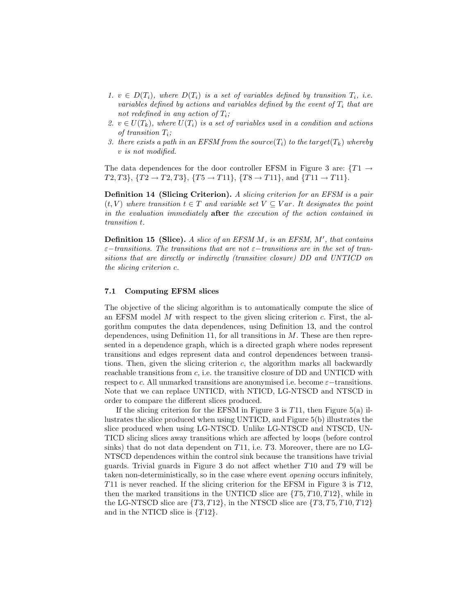- 1.  $v \in D(T_i)$ , where  $D(T_i)$  is a set of variables defined by transition  $T_i$ , i.e. variables defined by actions and variables defined by the event of  $T_i$  that are not redefined in any action of  $T_i$ ;
- 2.  $v \in U(T_k)$ , where  $U(T_i)$  is a set of variables used in a condition and actions of transition  $T_i$ ;
- 3. there exists a path in an EFSM from the source( $T_i$ ) to the target( $T_k$ ) whereby v is not modified.

The data dependences for the door controller EFSM in Figure 3 are:  $\{T1 \rightarrow$  $T2, T3$ ,  $\{T2 \rightarrow T2, T3\}$ ,  $\{T5 \rightarrow T11\}$ ,  $\{T8 \rightarrow T11\}$ , and  $\{T11 \rightarrow T11\}$ .

Definition 14 (Slicing Criterion). A slicing criterion for an EFSM is a pair  $(t, V)$  where transition  $t \in T$  and variable set  $V \subseteq Var$ . It designates the point in the evaluation immediately after the execution of the action contained in transition t.

**Definition 15 (Slice).** A slice of an EFSM  $M$ , is an EFSM,  $M'$ , that contains  $\varepsilon$ −transitions. The transitions that are not  $\varepsilon$ −transitions are in the set of transitions that are directly or indirectly (transitive closure) DD and UNTICD on the slicing criterion c.

### 7.1 Computing EFSM slices

The objective of the slicing algorithm is to automatically compute the slice of an EFSM model  $M$  with respect to the given slicing criterion  $c$ . First, the algorithm computes the data dependences, using Definition 13, and the control dependences, using Definition 11, for all transitions in  $M$ . These are then represented in a dependence graph, which is a directed graph where nodes represent transitions and edges represent data and control dependences between transitions. Then, given the slicing criterion  $c$ , the algorithm marks all backwardly reachable transitions from c, i.e. the transitive closure of DD and UNTICD with respect to c. All unmarked transitions are anonymised i.e. become  $\varepsilon$ -transitions. Note that we can replace UNTICD, with NTICD, LG-NTSCD and NTSCD in order to compare the different slices produced.

If the slicing criterion for the EFSM in Figure 3 is  $T11$ , then Figure 5(a) illustrates the slice produced when using UNTICD, and Figure 5(b) illustrates the slice produced when using LG-NTSCD. Unlike LG-NTSCD and NTSCD, UN-TICD slicing slices away transitions which are affected by loops (before control sinks) that do not data dependent on  $T11$ , i.e.  $T3$ . Moreover, there are no LG-NTSCD dependences within the control sink because the transitions have trivial guards. Trivial guards in Figure 3 do not affect whether T10 and T9 will be taken non-deterministically, so in the case where event opening occurs infinitely, T11 is never reached. If the slicing criterion for the EFSM in Figure 3 is T12, then the marked transitions in the UNTICD slice are  $\{T5, T10, T12\}$ , while in the LG-NTSCD slice are  $\{T3, T12\}$ , in the NTSCD slice are  $\{T3, T5, T10, T12\}$ and in the NTICD slice is  $\{T12\}$ .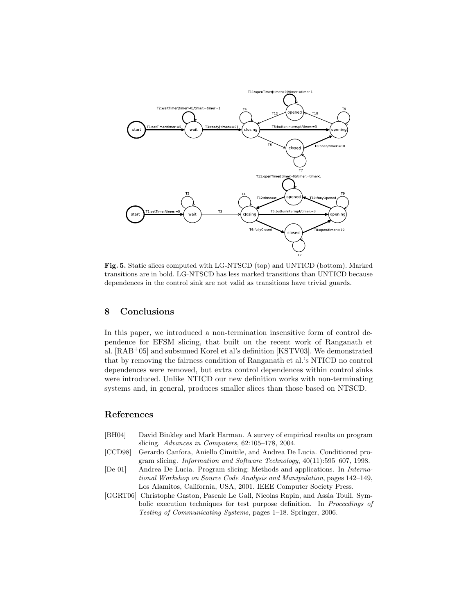

Fig. 5. Static slices computed with LG-NTSCD (top) and UNTICD (bottom). Marked transitions are in bold. LG-NTSCD has less marked transitions than UNTICD because dependences in the control sink are not valid as transitions have trivial guards.

# 8 Conclusions

In this paper, we introduced a non-termination insensitive form of control dependence for EFSM slicing, that built on the recent work of Ranganath et al. [RAB+05] and subsumed Korel et al's definition [KSTV03]. We demonstrated that by removing the fairness condition of Ranganath et al.'s NTICD no control dependences were removed, but extra control dependences within control sinks were introduced. Unlike NTICD our new definition works with non-terminating systems and, in general, produces smaller slices than those based on NTSCD.

# References

- [BH04] David Binkley and Mark Harman. A survey of empirical results on program slicing. Advances in Computers, 62:105–178, 2004.
- [CCD98] Gerardo Canfora, Aniello Cimitile, and Andrea De Lucia. Conditioned program slicing. Information and Software Technology, 40(11):595–607, 1998.
- [De 01] Andrea De Lucia. Program slicing: Methods and applications. In International Workshop on Source Code Analysis and Manipulation, pages 142–149, Los Alamitos, California, USA, 2001. IEEE Computer Society Press.
- [GGRT06] Christophe Gaston, Pascale Le Gall, Nicolas Rapin, and Assia Touil. Symbolic execution techniques for test purpose definition. In Proceedings of Testing of Communicating Systems, pages 1–18. Springer, 2006.